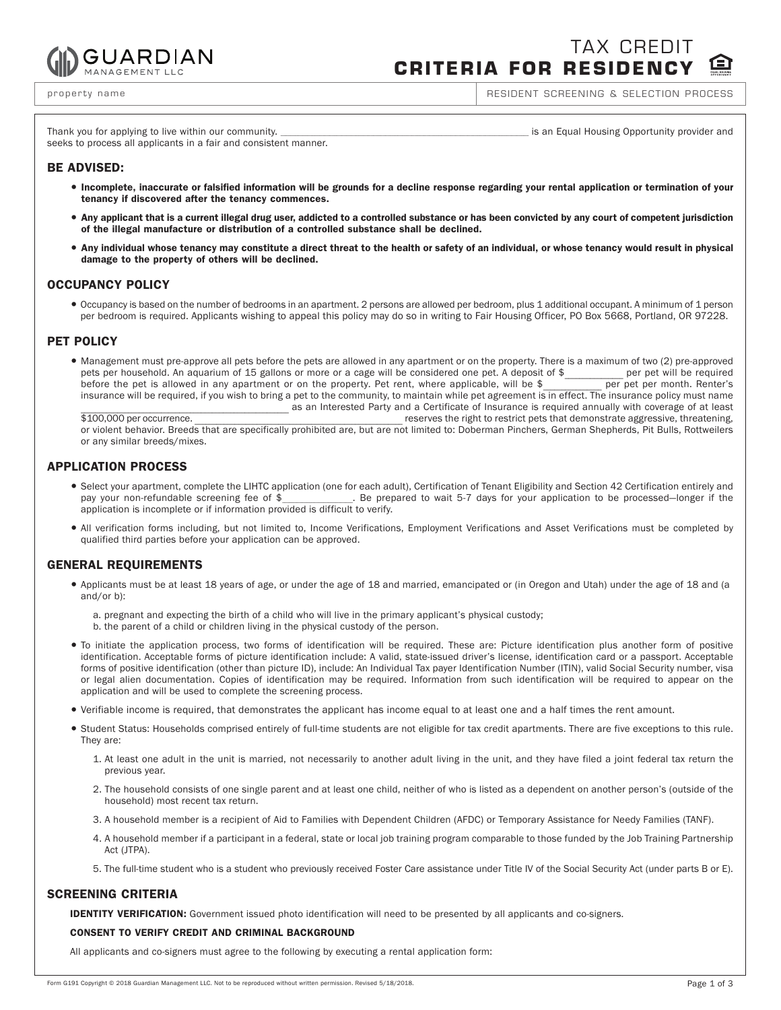

TAX CREDIT **CRITERIA FOR RESIDENCY**

property name **RESIDENT SCREENING & SELECTION PROCESS** 

seeks to process all applicants in a fair and consistent manner.

Thank you for applying to live within our community. Thank is an Equal Housing Opportunity provider and

# **BE ADVISED:**

- · Incomplete, inaccurate or falsified information will be grounds for a decline response regarding your rental application or termination of your **tenancy if discovered after the tenancy commences.**
- Any applicant that is a current illegal drug user, addicted to a controlled substance or has been convicted by any court of competent jurisdiction **of the illegal manufacture or distribution of a controlled substance shall be declined.**
- Any individual whose tenancy may constitute a direct threat to the health or safety of an individual, or whose tenancy would result in physical **damage to the property of others will be declined.**

## **OCCUPANCY POLICY**

 <sup>=</sup> Occupancy is based on the number of bedrooms in an apartment. 2 persons are allowed per bedroom, plus 1 additional occupant. A minimum of 1 person per bedroom is required. Applicants wishing to appeal this policy may do so in writing to Fair Housing Officer, PO Box 5668, Portland, OR 97228.

## **PET POLICY**

• Management must pre-approve all pets before the pets are allowed in any apartment or on the property. There is a maximum of two (2) pre-approved pets per household. An aquarium of 15 gallons or more or a cage will be con pets per household. An aquarium of 15 gallons or more or a cage will be considered one pet. A deposit of \$\_\_\_\_\_\_\_\_\_\_\_\_\_\_\_\_ per pet will be required before the pet is allowed in any apartment or on the property. Pet rent, where applicable, will be  $\frac{1}{2}$ insurance will be required, if you wish to bring a pet to the community, to maintain while pet agreement is in effect. The insurance policy must name as an Interested Party and a Certificate of Insurance is required annually with coverage of at least<br>S100,000 per occurrence reserves the right to restrict pets that demonstrate aggressive, threatening,

or violent behavior. Breeds that are specifically prohibited are, but are not limited to: Doberman Pinchers, German Shepherds, Pit Bulls, Rottweilers or any similar breeds/mixes.

## **APPLICATION PROCESS**

- Select your apartment, complete the LIHTC application (one for each adult), Certification of Tenant Eligibility and Section 42 Certification entirely and<br>pay your non-refundable screening fee of \$<br>Be prepared to wait 5-7 pay Be prepared to wait 5-7 days for your application to be processed—longer if the application is incomplete or if information provided is difficult to verify.
- <sup>=</sup> All verification forms including, but not limited to, Income Verifications, Employment Verifications and Asset Verifications must be completed by qualified third parties before your application can be approved.

## **GENERAL REQUIREMENTS**

- <sup>=</sup> Applicants must be at least 18 years of age, or under the age of 18 and married, emancipated or (in Oregon and Utah) under the age of 18 and (a and/or b):
	- a. pregnant and expecting the birth of a child who will live in the primary applicant's physical custody;
	- b. the parent of a child or children living in the physical custody of the person.
- <sup>=</sup> To initiate the application process, two forms of identification will be required. These are: Picture identification plus another form of positive identification. Acceptable forms of picture identification include: A valid, state-issued driver's license, identification card or a passport. Acceptable forms of positive identification (other than picture ID), include: An Individual Tax payer Identification Number (ITIN), valid Social Security number, visa or legal alien documentation. Copies of identification may be required. Information from such identification will be required to appear on the application and will be used to complete the screening process.
- <sup>=</sup> Verifiable income is required, that demonstrates the applicant has income equal to at least one and a half times the rent amount.
- <sup>=</sup> Student Status: Households comprised entirely of full-time students are not eligible for tax credit apartments. There are five exceptions to this rule. They are:
	- 1. At least one adult in the unit is married, not necessarily to another adult living in the unit, and they have filed a joint federal tax return the previous year.
	- 2. The household consists of one single parent and at least one child, neither of who is listed as a dependent on another person's (outside of the household) most recent tax return.
	- 3. A household member is a recipient of Aid to Families with Dependent Children (AFDC) or Temporary Assistance for Needy Families (TANF).
	- 4. A household member if a participant in a federal, state or local job training program comparable to those funded by the Job Training Partnership Act (JTPA).
	- 5. The full-time student who is a student who previously received Foster Care assistance under Title IV of the Social Security Act (under parts B or E).

## **SCREENING CRITERIA**

 **IDENTITY VERIFICATION:** Government issued photo identification will need to be presented by all applicants and co-signers.

### **CONSENT TO VERIFY CREDIT AND CRIMINAL BACKGROUND**

All applicants and co-signers must agree to the following by executing a rental application form: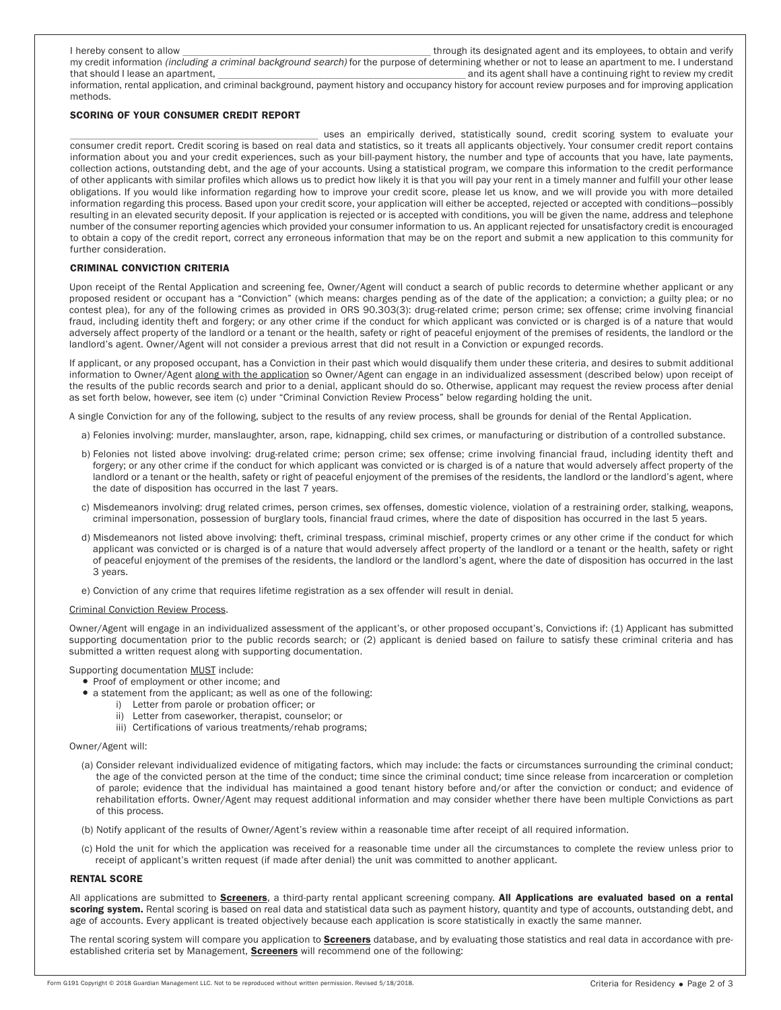| i hereby consent to allow | through its designated agent and its employees, to obtain and verify                                                                                          |
|---------------------------|---------------------------------------------------------------------------------------------------------------------------------------------------------------|
|                           | my credit information <i>(including a criminal background search)</i> for the purpose of determining whether or not to lease an apartment to me. I understand |

that should I lease an apartment, the state of the state of the state of the state of the state of the state of the state of the state of the state of the state of the state of the state of the state of the state of the st information, rental application, and criminal background, payment history and occupancy history for account review purposes and for improving application methods.

### **SCORING OF YOUR CONSUMER CREDIT REPORT**

uses an empirically derived, statistically sound, credit scoring system to evaluate your consumer credit report. Credit scoring is based on real data and statistics, so it treats all applicants objectively. Your consumer credit report contains information about you and your credit experiences, such as your bill-payment history, the number and type of accounts that you have, late payments, collection actions, outstanding debt, and the age of your accounts. Using a statistical program, we compare this information to the credit performance of other applicants with similar profiles which allows us to predict how likely it is that you will pay your rent in a timely manner and fulfill your other lease obligations. If you would like information regarding how to improve your credit score, please let us know, and we will provide you with more detailed information regarding this process. Based upon your credit score, your application will either be accepted, rejected or accepted with conditions—possibly resulting in an elevated security deposit. If your application is rejected or is accepted with conditions, you will be given the name, address and telephone number of the consumer reporting agencies which provided your consumer information to us. An applicant rejected for unsatisfactory credit is encouraged to obtain a copy of the credit report, correct any erroneous information that may be on the report and submit a new application to this community for further consideration.

#### **CRIMINAL CONVICTION CRITERIA**

 Upon receipt of the Rental Application and screening fee, Owner/Agent will conduct a search of public records to determine whether applicant or any proposed resident or occupant has a "Conviction" (which means: charges pending as of the date of the application; a conviction; a guilty plea; or no contest plea), for any of the following crimes as provided in ORS 90.303(3): drug-related crime; person crime; sex offense; crime involving financial fraud, including identity theft and forgery; or any other crime if the conduct for which applicant was convicted or is charged is of a nature that would adversely affect property of the landlord or a tenant or the health, safety or right of peaceful enjoyment of the premises of residents, the landlord or the landlord's agent. Owner/Agent will not consider a previous arrest that did not result in a Conviction or expunged records.

 If applicant, or any proposed occupant, has a Conviction in their past which would disqualify them under these criteria, and desires to submit additional information to Owner/Agent along with the application so Owner/Agent can engage in an individualized assessment (described below) upon receipt of the results of the public records search and prior to a denial, applicant should do so. Otherwise, applicant may request the review process after denial as set forth below, however, see item (c) under "Criminal Conviction Review Process" below regarding holding the unit.

A single Conviction for any of the following, subject to the results of any review process, shall be grounds for denial of the Rental Application.

- a) Felonies involving: murder, manslaughter, arson, rape, kidnapping, child sex crimes, or manufacturing or distribution of a controlled substance.
- b) Felonies not listed above involving: drug-related crime; person crime; sex offense; crime involving financial fraud, including identity theft and forgery; or any other crime if the conduct for which applicant was convicted or is charged is of a nature that would adversely affect property of the landlord or a tenant or the health, safety or right of peaceful enjoyment of the premises of the residents, the landlord or the landlord's agent, where the date of disposition has occurred in the last 7 years.
- c) Misdemeanors involving: drug related crimes, person crimes, sex offenses, domestic violence, violation of a restraining order, stalking, weapons, criminal impersonation, possession of burglary tools, financial fraud crimes, where the date of disposition has occurred in the last 5 years.
- d) Misdemeanors not listed above involving: theft, criminal trespass, criminal mischief, property crimes or any other crime if the conduct for which applicant was convicted or is charged is of a nature that would adversely affect property of the landlord or a tenant or the health, safety or right of peaceful enjoyment of the premises of the residents, the landlord or the landlord's agent, where the date of disposition has occurred in the last 3 years.
- e) Conviction of any crime that requires lifetime registration as a sex offender will result in denial.

#### Criminal Conviction Review Process.

Owner/Agent will engage in an individualized assessment of the applicant's, or other proposed occupant's, Convictions if: (1) Applicant has submitted supporting documentation prior to the public records search; or (2) applicant is denied based on failure to satisfy these criminal criteria and has submitted a written request along with supporting documentation.

#### Supporting documentation MUST include:

- Proof of employment or other income; and
- $\bullet$  a statement from the applicant; as well as one of the following:
	- i) Letter from parole or probation officer; or
	- ii) Letter from caseworker, therapist, counselor; or
	- iii) Certifications of various treatments/rehab programs;

#### Owner/Agent will:

- (a) Consider relevant individualized evidence of mitigating factors, which may include: the facts or circumstances surrounding the criminal conduct; the age of the convicted person at the time of the conduct; time since the criminal conduct; time since release from incarceration or completion of parole; evidence that the individual has maintained a good tenant history before and/or after the conviction or conduct; and evidence of rehabilitation efforts. Owner/Agent may request additional information and may consider whether there have been multiple Convictions as part of this process.
- (b) Notify applicant of the results of Owner/Agent's review within a reasonable time after receipt of all required information.
- (c) Hold the unit for which the application was received for a reasonable time under all the circumstances to complete the review unless prior to receipt of applicant's written request (if made after denial) the unit was committed to another applicant.

#### **RENTAL SCORE**

 All applications are submitted to **Screeners**, a third-party rental applicant screening company. **All Applications are evaluated based on a rental scoring system.** Rental scoring is based on real data and statistical data such as payment history, quantity and type of accounts, outstanding debt, and age of accounts. Every applicant is treated objectively because each application is score statistically in exactly the same manner.

 The rental scoring system will compare you application to **Screeners** database, and by evaluating those statistics and real data in accordance with preestablished criteria set by Management, **Screeners** will recommend one of the following: